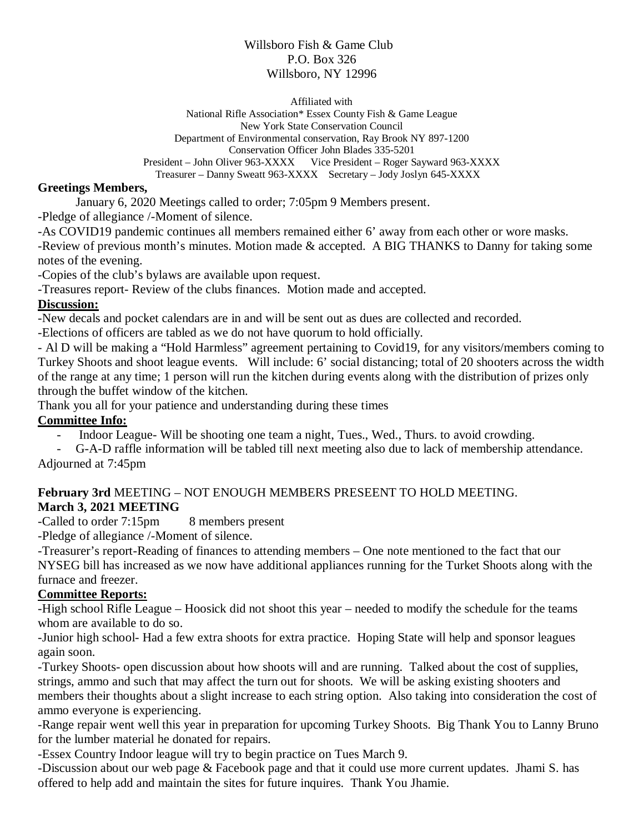### Willsboro Fish & Game Club P.O. Box 326 Willsboro, NY 12996

Affiliated with

National Rifle Association\* Essex County Fish & Game League New York State Conservation Council Department of Environmental conservation, Ray Brook NY 897-1200 Conservation Officer John Blades 335-5201<br>President – John Oliver 963-XXXX Vice President – Roger S Vice President – Roger Sayward 963-XXXX Treasurer – Danny Sweatt 963-XXXX Secretary – Jody Joslyn 645-XXXX

### **Greetings Members,**

January 6, 2020 Meetings called to order; 7:05pm 9 Members present.

-Pledge of allegiance /-Moment of silence.

-As COVID19 pandemic continues all members remained either 6' away from each other or wore masks.

-Review of previous month's minutes. Motion made & accepted. A BIG THANKS to Danny for taking some notes of the evening.

-Copies of the club's bylaws are available upon request.

-Treasures report- Review of the clubs finances. Motion made and accepted.

### **Discussion:**

-New decals and pocket calendars are in and will be sent out as dues are collected and recorded.

-Elections of officers are tabled as we do not have quorum to hold officially.

- Al D will be making a "Hold Harmless" agreement pertaining to Covid19, for any visitors/members coming to Turkey Shoots and shoot league events. Will include: 6' social distancing; total of 20 shooters across the width of the range at any time; 1 person will run the kitchen during events along with the distribution of prizes only through the buffet window of the kitchen.

Thank you all for your patience and understanding during these times

# **Committee Info:**

- Indoor League- Will be shooting one team a night, Tues., Wed., Thurs. to avoid crowding.

- G-A-D raffle information will be tabled till next meeting also due to lack of membership attendance. Adjourned at 7:45pm

# **February 3rd** MEETING – NOT ENOUGH MEMBERS PRESEENT TO HOLD MEETING. **March 3, 2021 MEETING**

-Called to order 7:15pm 8 members present

-Pledge of allegiance /-Moment of silence.

-Treasurer's report-Reading of finances to attending members – One note mentioned to the fact that our NYSEG bill has increased as we now have additional appliances running for the Turket Shoots along with the furnace and freezer.

# **Committee Reports:**

-High school Rifle League – Hoosick did not shoot this year – needed to modify the schedule for the teams whom are available to do so.

-Junior high school- Had a few extra shoots for extra practice. Hoping State will help and sponsor leagues again soon.

-Turkey Shoots- open discussion about how shoots will and are running. Talked about the cost of supplies, strings, ammo and such that may affect the turn out for shoots. We will be asking existing shooters and members their thoughts about a slight increase to each string option. Also taking into consideration the cost of ammo everyone is experiencing.

-Range repair went well this year in preparation for upcoming Turkey Shoots. Big Thank You to Lanny Bruno for the lumber material he donated for repairs.

-Essex Country Indoor league will try to begin practice on Tues March 9.

-Discussion about our web page & Facebook page and that it could use more current updates. Jhami S. has offered to help add and maintain the sites for future inquires. Thank You Jhamie.